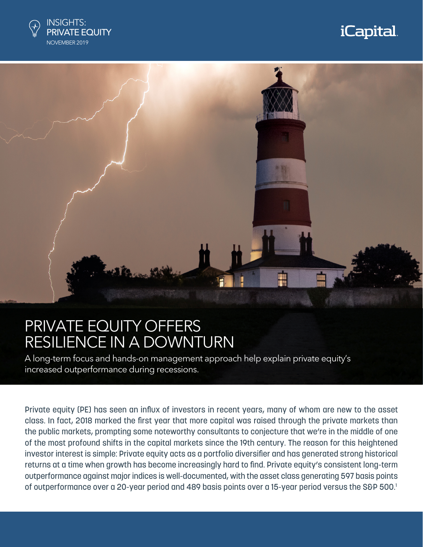

# *i*Capital



## PRIVATE EQUITY OFFERS RESILIENCE IN A DOWNTURN

A long-term focus and hands-on management approach help explain private equity's increased outperformance during recessions.

Private equity (PE) has seen an influx of investors in recent years, many of whom are new to the asset class. In fact, 2018 marked the first year that more capital was raised through the private markets than the public markets, prompting some noteworthy consultants to conjecture that we're in the middle of one of the most profound shifts in the capital markets since the 19th century. The reason for this heightened investor interest is simple: Private equity acts as a portfolio diversifier and has generated strong historical returns at a time when growth has become increasingly hard to find. Private equity's consistent long-term outperformance against major indices is well-documented, with the asset class generating 597 basis points of outperformance over a 20-year period and 489 basis points over a 15-year period versus the S&P 500.1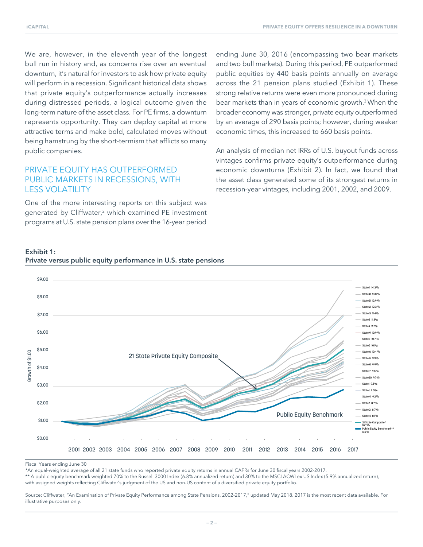We are, however, in the eleventh year of the longest bull run in history and, as concerns rise over an eventual downturn, it's natural for investors to ask how private equity will perform in a recession. Significant historical data shows that private equity's outperformance actually increases during distressed periods, a logical outcome given the long-term nature of the asset class. For PE firms, a downturn represents opportunity. They can deploy capital at more attractive terms and make bold, calculated moves without being hamstrung by the short-termism that afflicts so many public companies.

## PRIVATE EQUITY HAS OUTPERFORMED PUBLIC MARKETS IN RECESSIONS, WITH LESS VOLATILITY

One of the more interesting reports on this subject was generated by Cliffwater,<sup>2</sup> which examined PE investment programs at U.S. state pension plans over the 16-year period

ending June 30, 2016 (encompassing two bear markets and two bull markets). During this period, PE outperformed public equities by 440 basis points annually on average across the 21 pension plans studied (Exhibit 1). These strong relative returns were even more pronounced during bear markets than in years of economic growth.<sup>3</sup> When the broader economy was stronger, private equity outperformed by an average of 290 basis points; however, during weaker economic times, this increased to 660 basis points.

An analysis of median net IRRs of U.S. buyout funds across vintages confirms private equity's outperformance during economic downturns (Exhibit 2). In fact, we found that the asset class generated some of its strongest returns in recession-year vintages, including 2001, 2002, and 2009.

#### Exhibit 1: Private versus public equity performance in U.S. state pensions



Fiscal Years ending June 30

\*An equal-weighted average of all 21 state funds who reported private equity returns in annual CAFRs for June 30 fiscal years 2002-2017.

\*\* A public equity benchmark weighted 70% to the Russell 3000 Index (6.8% annualized return) and 30% to the MSCI ACWI ex US Index (5.9% annualized return), with assigned weights reflecting Cliffwater's judgment of the US and non-US content of a diversified private equity portfolio.

Source: Cliffwater, "An Examination of Private Equity Performance among State Pensions, 2002-2017," updated May 2018. 2017 is the most recent data available. For illustrative purposes only.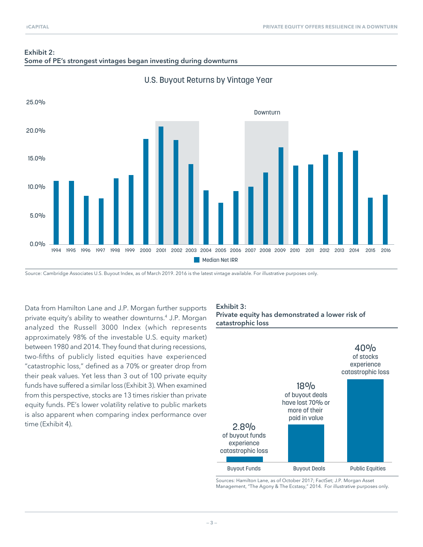



### U.S. Buyout Returns by Vintage Year

Source: Cambridge Associates U.S. Buyout Index, as of March 2019. 2016 is the latest vintage available. For illustrative purposes only.

Data from Hamilton Lane and J.P. Morgan further supports private equity's ability to weather downturns.4 J.P. Morgan analyzed the Russell 3000 Index (which represents approximately 98% of the investable U.S. equity market) between 1980 and 2014. They found that during recessions, two-fifths of publicly listed equities have experienced "catastrophic loss," defined as a 70% or greater drop from their peak values. Yet less than 3 out of 100 private equity funds have suffered a similar loss (Exhibit 3). When examined from this perspective, stocks are 13 times riskier than private equity funds. PE's lower volatility relative to public markets is also apparent when comparing index performance over time (Exhibit 4).

### Exhibit 3: Private equity has demonstrated a lower risk of catastrophic loss



Sources: Hamilton Lane, as of October 2017; FactSet; J.P. Morgan Asset Management, "The Agony & The Ecstasy," 2014. For illustrative purposes only.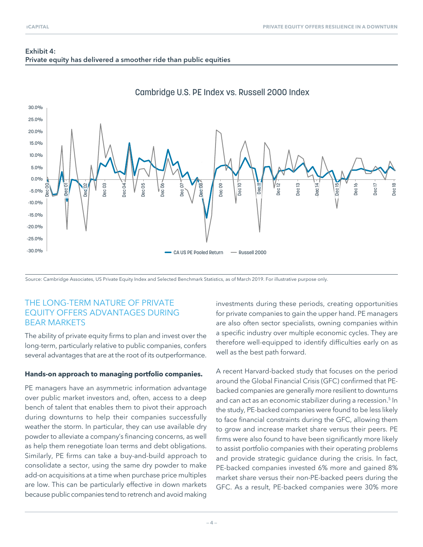## Exhibit 4: Private equity has delivered a smoother ride than public equities



## Cambridge U.S. PE Index vs. Russell 2000 Index

Source: Cambridge Associates, US Private Equity Index and Selected Benchmark Statistics, as of March 2019. For illustrative purpose only.

## THE LONG-TERM NATURE OF PRIVATE EQUITY OFFERS ADVANTAGES DURING BEAR MARKETS

The ability of private equity firms to plan and invest over the long-term, particularly relative to public companies, confers several advantages that are at the root of its outperformance.

#### **Hands-on approach to managing portfolio companies.**

PE managers have an asymmetric information advantage over public market investors and, often, access to a deep bench of talent that enables them to pivot their approach during downturns to help their companies successfully weather the storm. In particular, they can use available dry powder to alleviate a company's financing concerns, as well as help them renegotiate loan terms and debt obligations. Similarly, PE firms can take a buy-and-build approach to consolidate a sector, using the same dry powder to make add-on acquisitions at a time when purchase price multiples are low. This can be particularly effective in down markets because public companies tend to retrench and avoid making investments during these periods, creating opportunities for private companies to gain the upper hand. PE managers are also often sector specialists, owning companies within a specific industry over multiple economic cycles. They are therefore well-equipped to identify difficulties early on as well as the best path forward.

A recent Harvard-backed study that focuses on the period around the Global Financial Crisis (GFC) confirmed that PEbacked companies are generally more resilient to downturns and can act as an economic stabilizer during a recession.<sup>5</sup> In the study, PE-backed companies were found to be less likely to face financial constraints during the GFC, allowing them to grow and increase market share versus their peers. PE firms were also found to have been significantly more likely to assist portfolio companies with their operating problems and provide strategic guidance during the crisis. In fact, PE-backed companies invested 6% more and gained 8% market share versus their non-PE-backed peers during the GFC. As a result, PE-backed companies were 30% more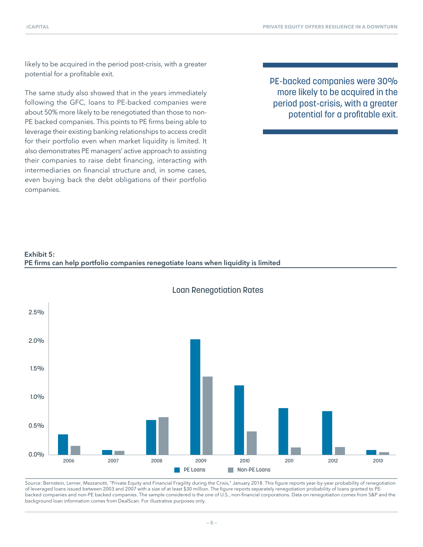likely to be acquired in the period post-crisis, with a greater potential for a profitable exit.

The same study also showed that in the years immediately following the GFC, loans to PE-backed companies were about 50% more likely to be renegotiated than those to non-PE backed companies. This points to PE firms being able to leverage their existing banking relationships to access credit for their portfolio even when market liquidity is limited. It also demonstrates PE managers' active approach to assisting their companies to raise debt financing, interacting with intermediaries on financial structure and, in some cases, even buying back the debt obligations of their portfolio companies.

PE-backed companies were 30% more likely to be acquired in the period post-crisis, with a greater potential for a profitable exit.





Loan Renegotiation Rates

Source: Bernstein, Lerner, Mezzanotti, "Private Equity and Financial Fragility during the Crisis," January 2018. This figure reports year-by-year probability of renegotiation of leveraged loans issued between 2003 and 2007 with a size of at least \$30 million. The figure reports separately renegotiation probability of loans granted to PEbacked companies and non-PE backed companies. The sample considered is the one of U.S., non-financial corporations. Data on renegotiation comes from S&P and the background loan information comes from DealScan. For illustrative purposes only.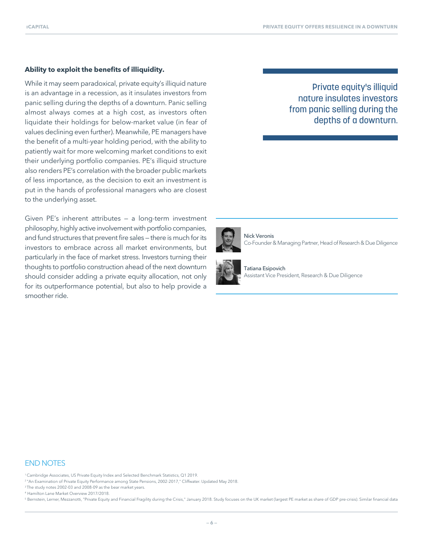#### **Ability to exploit the benefits of illiquidity.**

While it may seem paradoxical, private equity's illiquid nature is an advantage in a recession, as it insulates investors from panic selling during the depths of a downturn. Panic selling almost always comes at a high cost, as investors often liquidate their holdings for below-market value (in fear of values declining even further). Meanwhile, PE managers have the benefit of a multi-year holding period, with the ability to patiently wait for more welcoming market conditions to exit their underlying portfolio companies. PE's illiquid structure also renders PE's correlation with the broader public markets of less importance, as the decision to exit an investment is put in the hands of professional managers who are closest to the underlying asset.

Given PE's inherent attributes — a long-term investment philosophy, highly active involvement with portfolio companies, and fund structures that prevent fire sales — there is much for its investors to embrace across all market environments, but particularly in the face of market stress. Investors turning their thoughts to portfolio construction ahead of the next downturn should consider adding a private equity allocation, not only for its outperformance potential, but also to help provide a smoother ride.

## Private equity's illiquid nature insulates investors from panic selling during the depths of a downturn.



Nick Veronis Co-Founder & Managing Partner, Head of Research & Due Diligence



Tatiana Esipovich Assistant Vice President, Research & Due Diligence

#### END NOTES

1 Cambridge Associates, US Private Equity Index and Selected Benchmark Statistics, Q1 2019.

<sup>2</sup> "An Examination of Private Equity Performance among State Pensions, 2002-2017," Cliffwater. Updated May 2018.

<sup>3</sup> The study notes 2002-03 and 2008-09 as the bear market years.

4 Hamilton Lane Market Overview 2017/2018.

<sup>5</sup> Bernstein, Lerner, Mezzanotti, "Private Equity and Financial Fragility during the Crisis," January 2018. Study focuses on the UK market (largest PE market as share of GDP pre-crisis). Similar financial data